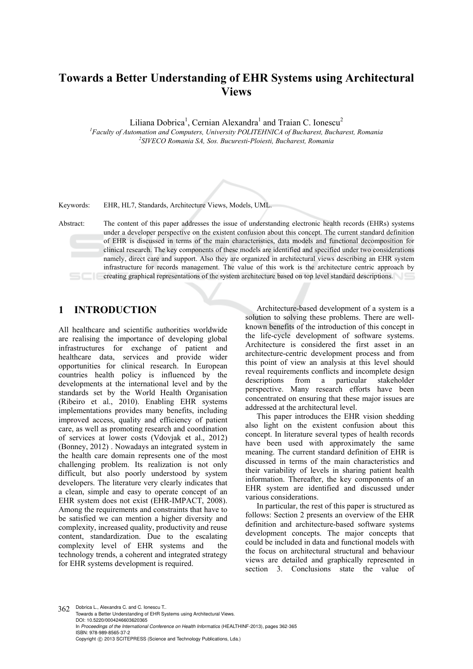# **Towards a Better Understanding of EHR Systems using Architectural Views**

Liliana Dobrica<sup>1</sup>, Cernian Alexandra<sup>1</sup> and Traian C. Ionescu<sup>2</sup>

<sup>1</sup> Faculty of Automation and Computers, University POLITEHNICA of Bucharest, Bucharest, Romania <sup>2</sup>SIVECO Bomania SA, See, Bucunesti Bloiseti, Puchanest, Pomania *SIVECO Romania SA, Sos. Bucuresti-Ploiesti, Bucharest, Romania* 



Keywords: EHR, HL7, Standards, Architecture Views, Models, UML.

Abstract: The content of this paper addresses the issue of understanding electronic health records (EHRs) systems under a developer perspective on the existent confusion about this concept. The current standard definition of EHR is discussed in terms of the main characteristics, data models and functional decomposition for clinical research. The key components of these models are identified and specified under two considerations namely, direct care and support. Also they are organized in architectural views describing an EHR system infrastructure for records management. The value of this work is the architecture centric approach by creating graphical representations of the system architecture based on top level standard descriptions.

## **1 INTRODUCTION**

All healthcare and scientific authorities worldwide are realising the importance of developing global infrastructures for exchange of patient and healthcare data, services and provide wider opportunities for clinical research. In European countries health policy is influenced by the developments at the international level and by the standards set by the World Health Organisation (Ribeiro et al., 2010). Enabling EHR systems implementations provides many benefits, including improved access, quality and efficiency of patient care, as well as promoting research and coordination of services at lower costs (Vdovjak et al., 2012) (Bonney, 2012) . Nowadays an integrated system in the health care domain represents one of the most challenging problem. Its realization is not only difficult, but also poorly understood by system developers. The literature very clearly indicates that a clean, simple and easy to operate concept of an EHR system does not exist (EHR-IMPACT, 2008). Among the requirements and constraints that have to be satisfied we can mention a higher diversity and complexity, increased quality, productivity and reuse content, standardization. Due to the escalating complexity level of EHR systems and the technology trends, a coherent and integrated strategy for EHR systems development is required.

Architecture-based development of a system is a solution to solving these problems. There are wellknown benefits of the introduction of this concept in the life-cycle development of software systems. Architecture is considered the first asset in an architecture-centric development process and from this point of view an analysis at this level should reveal requirements conflicts and incomplete design descriptions from a particular stakeholder perspective. Many research efforts have been concentrated on ensuring that these major issues are addressed at the architectural level.

This paper introduces the EHR vision shedding also light on the existent confusion about this concept. In literature several types of health records have been used with approximately the same meaning. The current standard definition of EHR is discussed in terms of the main characteristics and their variability of levels in sharing patient health information. Thereafter, the key components of an EHR system are identified and discussed under various considerations.

In particular, the rest of this paper is structured as follows: Section 2 presents an overview of the EHR definition and architecture-based software systems development concepts. The major concepts that could be included in data and functional models with the focus on architectural structural and behaviour views are detailed and graphically represented in section 3. Conclusions state the value of

362 Dobrica L., Alexandra C. and C. Ionescu T.. Towards a Better Understanding of EHR Systems using Architectural Views. DOI: 10.5220/0004246603620365 In *Proceedings of the International Conference on Health Informatics* (HEALTHINF-2013), pages 362-365 ISBN: 978-989-8565-37-2 Copyright © 2013 SCITEPRESS (Science and Technology Publications, Lda.)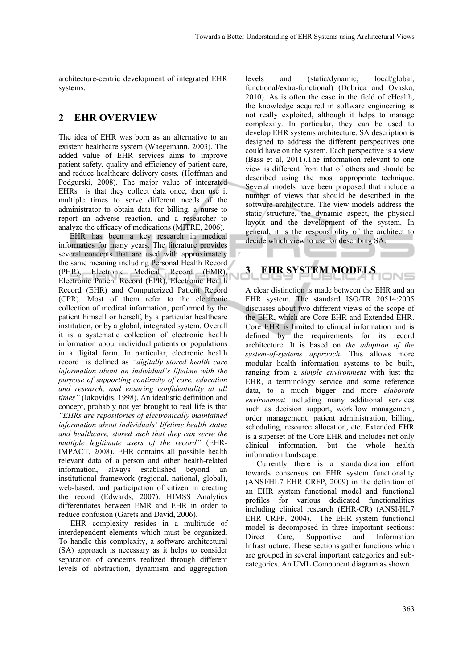architecture-centric development of integrated EHR systems.

#### **2 EHR OVERVIEW**

The idea of EHR was born as an alternative to an existent healthcare system (Waegemann, 2003). The added value of EHR services aims to improve patient safety, quality and efficiency of patient care, and reduce healthcare delivery costs. (Hoffman and Podgurski, 2008). The major value of integrated EHRs is that they collect data once, then use it multiple times to serve different needs of the administrator to obtain data for billing, a nurse to report an adverse reaction, and a researcher to analyze the efficacy of medications (MITRE, 2006).

EHR has been a key research in medical informatics for many years. The literature provides several concepts that are used with approximately the same meaning including Personal Health Record (PHR), Electronic Medical Record (EMR), Electronic Patient Record (EPR), Electronic Health Record (EHR) and Computerized Patient Record (CPR). Most of them refer to the electronic collection of medical information, performed by the patient himself or herself, by a particular healthcare institution, or by a global, integrated system. Overall it is a systematic collection of electronic health information about individual patients or populations in a digital form. In particular, electronic health record is defined as *"digitally stored health care information about an individual's lifetime with the purpose of supporting continuity of care, education and research, and ensuring confidentiality at all times"* (Iakovidis, 1998). An idealistic definition and concept, probably not yet brought to real life is that *"EHRs are repositories of electronically maintained information about individuals' lifetime health status and healthcare, stored such that they can serve the multiple legitimate users of the record"* (EHR-IMPACT, 2008). EHR contains all possible health relevant data of a person and other health-related information, always established beyond an institutional framework (regional, national, global), web-based, and participation of citizen in creating the record (Edwards, 2007). HIMSS Analytics differentiates between EMR and EHR in order to reduce confusion (Garets and David, 2006).

EHR complexity resides in a multitude of interdependent elements which must be organized. To handle this complexity, a software architectural (SA) approach is necessary as it helps to consider separation of concerns realized through different levels of abstraction, dynamism and aggregation

levels and (static/dynamic, local/global, functional/extra-functional) (Dobrica and Ovaska, 2010). As is often the case in the field of eHealth, the knowledge acquired in software engineering is not really exploited, although it helps to manage complexity. In particular, they can be used to develop EHR systems architecture. SA description is designed to address the different perspectives one could have on the system. Each perspective is a view (Bass et al, 2011).The information relevant to one view is different from that of others and should be described using the most appropriate technique. Several models have been proposed that include a number of views that should be described in the software architecture. The view models address the static structure, the dynamic aspect, the physical layout and the development of the system. In general, it is the responsibility of the architect to decide which view to use for describing SA.

## **3 EHR SYSTEM MODELS**

A clear distinction is made between the EHR and an EHR system. The standard ISO/TR 20514:2005 discusses about two different views of the scope of the EHR, which are Core EHR and Extended EHR. Core EHR is limited to clinical information and is defined by the requirements for its record architecture. It is based on *the adoption of the system-of-systems approach*. This allows more modular health information systems to be built, ranging from a *simple environment* with just the EHR, a terminology service and some reference data, to a much bigger and more *elaborate environment* including many additional services such as decision support, workflow management, order management, patient administration, billing, scheduling, resource allocation, etc. Extended EHR is a superset of the Core EHR and includes not only clinical information, but the whole health information landscape.

Currently there is a standardization effort towards consensus on EHR system functionality (ANSI/HL7 EHR CRFP, 2009) in the definition of an EHR system functional model and functional profiles for various dedicated functionalities including clinical research (EHR-CR) (ANSI/HL7 EHR CRFP, 2004). The EHR system functional model is decomposed in three important sections: Direct Care, Supportive and Information Infrastructure. These sections gather functions which are grouped in several important categories and subcategories. An UML Component diagram as shown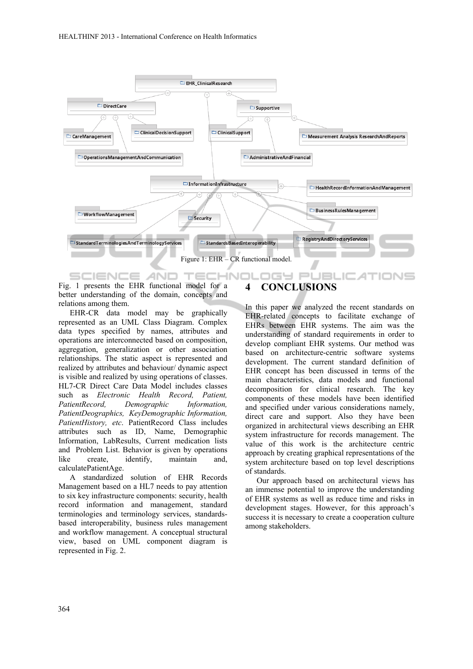

Fig. 1 presents the EHR functional model for a better understanding of the domain, concepts and relations among them.

EHR-CR data model may be graphically represented as an UML Class Diagram. Complex data types specified by names, attributes and operations are interconnected based on composition, aggregation, generalization or other association relationships. The static aspect is represented and realized by attributes and behaviour/ dynamic aspect is visible and realized by using operations of classes. HL7-CR Direct Care Data Model includes classes such as *Electronic Health Record, Patient, PatientRecord, Demographic Information, PatientDeographics, KeyDemographic Information, PatientHistory, etc*. PatientRecord Class includes attributes such as ID, Name, Demographic Information, LabResults, Current medication lists and Problem List. Behavior is given by operations like create, identify, maintain and, calculatePatientAge.

A standardized solution of EHR Records Management based on a HL7 needs to pay attention to six key infrastructure components: security, health record information and management, standard terminologies and terminology services, standardsbased interoperability, business rules management and workflow management. A conceptual structural view, based on UML component diagram is represented in Fig. 2.

### **4 CONCLUSIONS**

In this paper we analyzed the recent standards on EHR-related concepts to facilitate exchange of EHRs between EHR systems. The aim was the understanding of standard requirements in order to develop compliant EHR systems. Our method was based on architecture-centric software systems development. The current standard definition of EHR concept has been discussed in terms of the main characteristics, data models and functional decomposition for clinical research. The key components of these models have been identified and specified under various considerations namely, direct care and support. Also they have been organized in architectural views describing an EHR system infrastructure for records management. The value of this work is the architecture centric approach by creating graphical representations of the system architecture based on top level descriptions of standards.

Our approach based on architectural views has an immense potential to improve the understanding of EHR systems as well as reduce time and risks in development stages. However, for this approach's success it is necessary to create a cooperation culture among stakeholders.